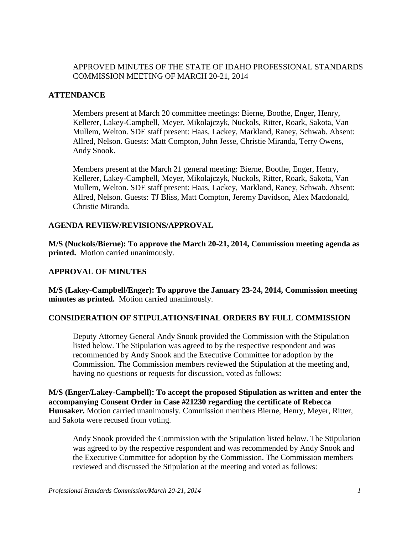## APPROVED MINUTES OF THE STATE OF IDAHO PROFESSIONAL STANDARDS COMMISSION MEETING OF MARCH 20-21, 2014

## **ATTENDANCE**

Members present at March 20 committee meetings: Bierne, Boothe, Enger, Henry, Kellerer, Lakey-Campbell, Meyer, Mikolajczyk, Nuckols, Ritter, Roark, Sakota, Van Mullem, Welton. SDE staff present: Haas, Lackey, Markland, Raney, Schwab. Absent: Allred, Nelson. Guests: Matt Compton, John Jesse, Christie Miranda, Terry Owens, Andy Snook.

Members present at the March 21 general meeting: Bierne, Boothe, Enger, Henry, Kellerer, Lakey-Campbell, Meyer, Mikolajczyk, Nuckols, Ritter, Roark, Sakota, Van Mullem, Welton. SDE staff present: Haas, Lackey, Markland, Raney, Schwab. Absent: Allred, Nelson. Guests: TJ Bliss, Matt Compton, Jeremy Davidson, Alex Macdonald, Christie Miranda.

#### **AGENDA REVIEW/REVISIONS/APPROVAL**

**M/S (Nuckols/Bierne): To approve the March 20-21, 2014, Commission meeting agenda as printed.** Motion carried unanimously.

## **APPROVAL OF MINUTES**

**M/S (Lakey-Campbell/Enger): To approve the January 23-24, 2014, Commission meeting minutes as printed.** Motion carried unanimously.

## **CONSIDERATION OF STIPULATIONS/FINAL ORDERS BY FULL COMMISSION**

Deputy Attorney General Andy Snook provided the Commission with the Stipulation listed below. The Stipulation was agreed to by the respective respondent and was recommended by Andy Snook and the Executive Committee for adoption by the Commission. The Commission members reviewed the Stipulation at the meeting and, having no questions or requests for discussion, voted as follows:

**M/S (Enger/Lakey-Campbell): To accept the proposed Stipulation as written and enter the accompanying Consent Order in Case #21230 regarding the certificate of Rebecca Hunsaker.** Motion carried unanimously. Commission members Bierne, Henry, Meyer, Ritter, and Sakota were recused from voting.

Andy Snook provided the Commission with the Stipulation listed below. The Stipulation was agreed to by the respective respondent and was recommended by Andy Snook and the Executive Committee for adoption by the Commission. The Commission members reviewed and discussed the Stipulation at the meeting and voted as follows: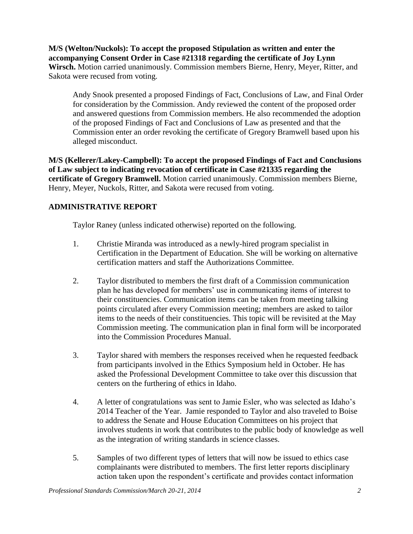**M/S (Welton/Nuckols): To accept the proposed Stipulation as written and enter the accompanying Consent Order in Case #21318 regarding the certificate of Joy Lynn Wirsch.** Motion carried unanimously. Commission members Bierne, Henry, Meyer, Ritter, and Sakota were recused from voting.

Andy Snook presented a proposed Findings of Fact, Conclusions of Law, and Final Order for consideration by the Commission. Andy reviewed the content of the proposed order and answered questions from Commission members. He also recommended the adoption of the proposed Findings of Fact and Conclusions of Law as presented and that the Commission enter an order revoking the certificate of Gregory Bramwell based upon his alleged misconduct.

**M/S (Kellerer/Lakey-Campbell): To accept the proposed Findings of Fact and Conclusions of Law subject to indicating revocation of certificate in Case #21335 regarding the certificate of Gregory Bramwell.** Motion carried unanimously. Commission members Bierne, Henry, Meyer, Nuckols, Ritter, and Sakota were recused from voting.

# **ADMINISTRATIVE REPORT**

Taylor Raney (unless indicated otherwise) reported on the following.

- 1. Christie Miranda was introduced as a newly-hired program specialist in Certification in the Department of Education. She will be working on alternative certification matters and staff the Authorizations Committee.
- 2. Taylor distributed to members the first draft of a Commission communication plan he has developed for members' use in communicating items of interest to their constituencies. Communication items can be taken from meeting talking points circulated after every Commission meeting; members are asked to tailor items to the needs of their constituencies. This topic will be revisited at the May Commission meeting. The communication plan in final form will be incorporated into the Commission Procedures Manual.
- 3. Taylor shared with members the responses received when he requested feedback from participants involved in the Ethics Symposium held in October. He has asked the Professional Development Committee to take over this discussion that centers on the furthering of ethics in Idaho.
- 4. A letter of congratulations was sent to Jamie Esler, who was selected as Idaho's 2014 Teacher of the Year. Jamie responded to Taylor and also traveled to Boise to address the Senate and House Education Committees on his project that involves students in work that contributes to the public body of knowledge as well as the integration of writing standards in science classes.
- 5. Samples of two different types of letters that will now be issued to ethics case complainants were distributed to members. The first letter reports disciplinary action taken upon the respondent's certificate and provides contact information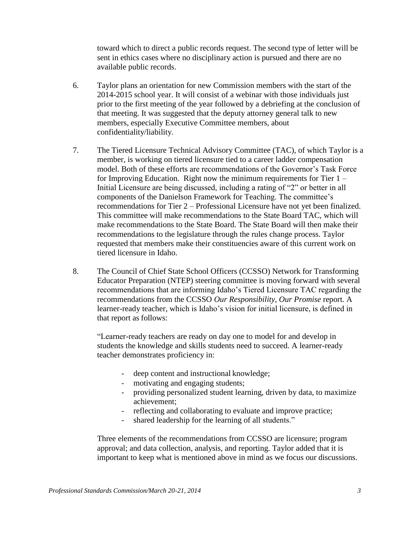toward which to direct a public records request. The second type of letter will be sent in ethics cases where no disciplinary action is pursued and there are no available public records.

- 6. Taylor plans an orientation for new Commission members with the start of the 2014-2015 school year. It will consist of a webinar with those individuals just prior to the first meeting of the year followed by a debriefing at the conclusion of that meeting. It was suggested that the deputy attorney general talk to new members, especially Executive Committee members, about confidentiality/liability.
- 7. The Tiered Licensure Technical Advisory Committee (TAC), of which Taylor is a member, is working on tiered licensure tied to a career ladder compensation model. Both of these efforts are recommendations of the Governor's Task Force for Improving Education. Right now the minimum requirements for Tier 1 – Initial Licensure are being discussed, including a rating of "2" or better in all components of the Danielson Framework for Teaching. The committee's recommendations for Tier 2 – Professional Licensure have not yet been finalized. This committee will make recommendations to the State Board TAC, which will make recommendations to the State Board. The State Board will then make their recommendations to the legislature through the rules change process. Taylor requested that members make their constituencies aware of this current work on tiered licensure in Idaho.
- 8. The Council of Chief State School Officers (CCSSO) Network for Transforming Educator Preparation (NTEP) steering committee is moving forward with several recommendations that are informing Idaho's Tiered Licensure TAC regarding the recommendations from the CCSSO *Our Responsibility, Our Promise* report. A learner-ready teacher, which is Idaho's vision for initial licensure, is defined in that report as follows:

"Learner-ready teachers are ready on day one to model for and develop in students the knowledge and skills students need to succeed. A learner-ready teacher demonstrates proficiency in:

- deep content and instructional knowledge;
- motivating and engaging students;
- providing personalized student learning, driven by data, to maximize achievement;
- reflecting and collaborating to evaluate and improve practice;
- shared leadership for the learning of all students."

Three elements of the recommendations from CCSSO are licensure; program approval; and data collection, analysis, and reporting. Taylor added that it is important to keep what is mentioned above in mind as we focus our discussions.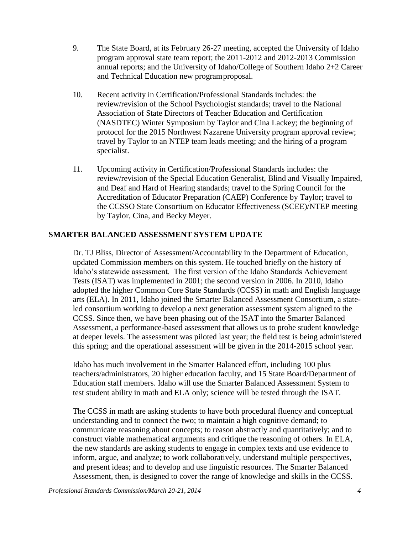- 9. The State Board, at its February 26-27 meeting, accepted the University of Idaho program approval state team report; the 2011-2012 and 2012-2013 Commission annual reports; and the University of Idaho/College of Southern Idaho 2+2 Career and Technical Education new programproposal.
- 10. Recent activity in Certification/Professional Standards includes: the review/revision of the School Psychologist standards; travel to the National Association of State Directors of Teacher Education and Certification (NASDTEC) Winter Symposium by Taylor and Cina Lackey; the beginning of protocol for the 2015 Northwest Nazarene University program approval review; travel by Taylor to an NTEP team leads meeting; and the hiring of a program specialist.
- 11. Upcoming activity in Certification/Professional Standards includes: the review/revision of the Special Education Generalist, Blind and Visually Impaired, and Deaf and Hard of Hearing standards; travel to the Spring Council for the Accreditation of Educator Preparation (CAEP) Conference by Taylor; travel to the CCSSO State Consortium on Educator Effectiveness (SCEE)/NTEP meeting by Taylor, Cina, and Becky Meyer.

## **SMARTER BALANCED ASSESSMENT SYSTEM UPDATE**

Dr. TJ Bliss, Director of Assessment/Accountability in the Department of Education, updated Commission members on this system. He touched briefly on the history of Idaho's statewide assessment. The first version of the Idaho Standards Achievement Tests (ISAT) was implemented in 2001; the second version in 2006. In 2010, Idaho adopted the higher Common Core State Standards (CCSS) in math and English language arts (ELA). In 2011, Idaho joined the Smarter Balanced Assessment Consortium, a stateled consortium working to develop a next generation assessment system aligned to the CCSS. Since then, we have been phasing out of the ISAT into the Smarter Balanced Assessment, a performance-based assessment that allows us to probe student knowledge at deeper levels. The assessment was piloted last year; the field test is being administered this spring; and the operational assessment will be given in the 2014-2015 school year.

Idaho has much involvement in the Smarter Balanced effort, including 100 plus teachers/administrators, 20 higher education faculty, and 15 State Board/Department of Education staff members. Idaho will use the Smarter Balanced Assessment System to test student ability in math and ELA only; science will be tested through the ISAT.

The CCSS in math are asking students to have both procedural fluency and conceptual understanding and to connect the two; to maintain a high cognitive demand; to communicate reasoning about concepts; to reason abstractly and quantitatively; and to construct viable mathematical arguments and critique the reasoning of others. In ELA, the new standards are asking students to engage in complex texts and use evidence to inform, argue, and analyze; to work collaboratively, understand multiple perspectives, and present ideas; and to develop and use linguistic resources. The Smarter Balanced Assessment, then, is designed to cover the range of knowledge and skills in the CCSS.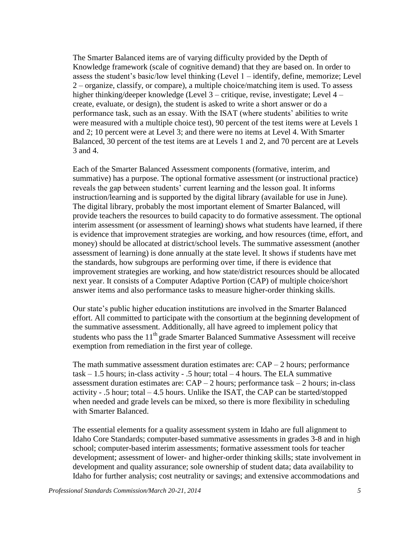The Smarter Balanced items are of varying difficulty provided by the Depth of Knowledge framework (scale of cognitive demand) that they are based on. In order to assess the student's basic/low level thinking (Level 1 – identify, define, memorize; Level 2 – organize, classify, or compare), a multiple choice/matching item is used. To assess higher thinking/deeper knowledge (Level 3 – critique, revise, investigate; Level 4 – create, evaluate, or design), the student is asked to write a short answer or do a performance task, such as an essay. With the ISAT (where students' abilities to write were measured with a multiple choice test), 90 percent of the test items were at Levels 1 and 2; 10 percent were at Level 3; and there were no items at Level 4. With Smarter Balanced, 30 percent of the test items are at Levels 1 and 2, and 70 percent are at Levels 3 and 4.

Each of the Smarter Balanced Assessment components (formative, interim, and summative) has a purpose. The optional formative assessment (or instructional practice) reveals the gap between students' current learning and the lesson goal. It informs instruction/learning and is supported by the digital library (available for use in June). The digital library, probably the most important element of Smarter Balanced, will provide teachers the resources to build capacity to do formative assessment. The optional interim assessment (or assessment of learning) shows what students have learned, if there is evidence that improvement strategies are working, and how resources (time, effort, and money) should be allocated at district/school levels. The summative assessment (another assessment of learning) is done annually at the state level. It shows if students have met the standards, how subgroups are performing over time, if there is evidence that improvement strategies are working, and how state/district resources should be allocated next year. It consists of a Computer Adaptive Portion (CAP) of multiple choice/short answer items and also performance tasks to measure higher-order thinking skills.

Our state's public higher education institutions are involved in the Smarter Balanced effort. All committed to participate with the consortium at the beginning development of the summative assessment. Additionally, all have agreed to implement policy that students who pass the  $11<sup>th</sup>$  grade Smarter Balanced Summative Assessment will receive exemption from remediation in the first year of college.

The math summative assessment duration estimates are:  $CAP - 2$  hours; performance  $task - 1.5$  hours; in-class activity - .5 hour; total  $-4$  hours. The ELA summative assessment duration estimates are:  $CAP - 2$  hours; performance task  $-2$  hours; in-class activity - .5 hour; total – 4.5 hours. Unlike the ISAT, the CAP can be started/stopped when needed and grade levels can be mixed, so there is more flexibility in scheduling with Smarter Balanced.

The essential elements for a quality assessment system in Idaho are full alignment to Idaho Core Standards; computer-based summative assessments in grades 3-8 and in high school; computer-based interim assessments; formative assessment tools for teacher development; assessment of lower- and higher-order thinking skills; state involvement in development and quality assurance; sole ownership of student data; data availability to Idaho for further analysis; cost neutrality or savings; and extensive accommodations and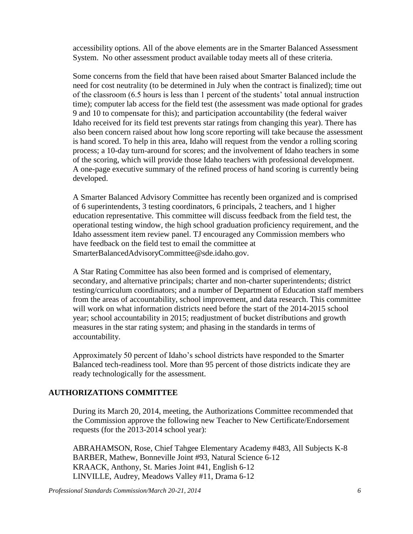accessibility options. All of the above elements are in the Smarter Balanced Assessment System. No other assessment product available today meets all of these criteria.

Some concerns from the field that have been raised about Smarter Balanced include the need for cost neutrality (to be determined in July when the contract is finalized); time out of the classroom (6.5 hours is less than 1 percent of the students' total annual instruction time); computer lab access for the field test (the assessment was made optional for grades 9 and 10 to compensate for this); and participation accountability (the federal waiver Idaho received for its field test prevents star ratings from changing this year). There has also been concern raised about how long score reporting will take because the assessment is hand scored. To help in this area, Idaho will request from the vendor a rolling scoring process; a 10-day turn-around for scores; and the involvement of Idaho teachers in some of the scoring, which will provide those Idaho teachers with professional development. A one-page executive summary of the refined process of hand scoring is currently being developed.

A Smarter Balanced Advisory Committee has recently been organized and is comprised of 6 superintendents, 3 testing coordinators, 6 principals, 2 teachers, and 1 higher education representative. This committee will discuss feedback from the field test, the operational testing window, the high school graduation proficiency requirement, and the Idaho assessment item review panel. TJ encouraged any Commission members who have feedback on the field test to email the committee at [SmarterBalancedAdvisoryCommittee@sde.idaho.gov.](mailto:SmarterBalancedAdvisoryCommittee@sde.idaho.gov)

A Star Rating Committee has also been formed and is comprised of elementary, secondary, and alternative principals; charter and non-charter superintendents; district testing/curriculum coordinators; and a number of Department of Education staff members from the areas of accountability, school improvement, and data research. This committee will work on what information districts need before the start of the 2014-2015 school year; school accountability in 2015; readjustment of bucket distributions and growth measures in the star rating system; and phasing in the standards in terms of accountability.

Approximately 50 percent of Idaho's school districts have responded to the Smarter Balanced tech-readiness tool. More than 95 percent of those districts indicate they are ready technologically for the assessment.

# **AUTHORIZATIONS COMMITTEE**

During its March 20, 2014, meeting, the Authorizations Committee recommended that the Commission approve the following new Teacher to New Certificate/Endorsement requests (for the 2013-2014 school year):

ABRAHAMSON, Rose, Chief Tahgee Elementary Academy #483, All Subjects K-8 BARBER, Mathew, Bonneville Joint #93, Natural Science 6-12 KRAACK, Anthony, St. Maries Joint #41, English 6-12 LINVILLE, Audrey, Meadows Valley #11, Drama 6-12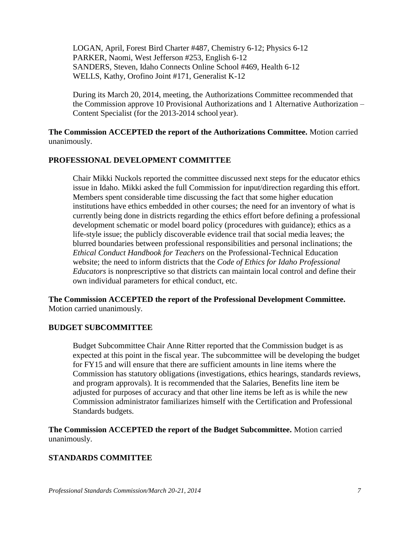LOGAN, April, Forest Bird Charter #487, Chemistry 6-12; Physics 6-12 PARKER, Naomi, West Jefferson #253, English 6-12 SANDERS, Steven, Idaho Connects Online School #469, Health 6-12 WELLS, Kathy, Orofino Joint #171, Generalist K-12

During its March 20, 2014, meeting, the Authorizations Committee recommended that the Commission approve 10 Provisional Authorizations and 1 Alternative Authorization – Content Specialist (for the 2013-2014 school year).

**The Commission ACCEPTED the report of the Authorizations Committee.** Motion carried unanimously.

#### **PROFESSIONAL DEVELOPMENT COMMITTEE**

Chair Mikki Nuckols reported the committee discussed next steps for the educator ethics issue in Idaho. Mikki asked the full Commission for input/direction regarding this effort. Members spent considerable time discussing the fact that some higher education institutions have ethics embedded in other courses; the need for an inventory of what is currently being done in districts regarding the ethics effort before defining a professional development schematic or model board policy (procedures with guidance); ethics as a life-style issue; the publicly discoverable evidence trail that social media leaves; the blurred boundaries between professional responsibilities and personal inclinations; the *Ethical Conduct Handbook for Teachers* on the Professional-Technical Education website; the need to inform districts that the *Code of Ethics for Idaho Professional Educators* is nonprescriptive so that districts can maintain local control and define their own individual parameters for ethical conduct, etc.

**The Commission ACCEPTED the report of the Professional Development Committee.** Motion carried unanimously.

#### **BUDGET SUBCOMMITTEE**

Budget Subcommittee Chair Anne Ritter reported that the Commission budget is as expected at this point in the fiscal year. The subcommittee will be developing the budget for FY15 and will ensure that there are sufficient amounts in line items where the Commission has statutory obligations (investigations, ethics hearings, standards reviews, and program approvals). It is recommended that the Salaries, Benefits line item be adjusted for purposes of accuracy and that other line items be left as is while the new Commission administrator familiarizes himself with the Certification and Professional Standards budgets.

**The Commission ACCEPTED the report of the Budget Subcommittee.** Motion carried unanimously.

#### **STANDARDS COMMITTEE**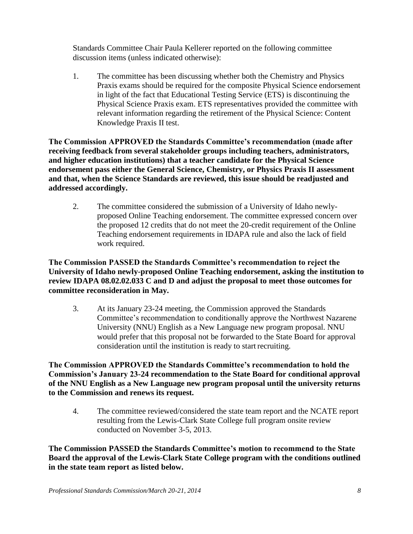Standards Committee Chair Paula Kellerer reported on the following committee discussion items (unless indicated otherwise):

1. The committee has been discussing whether both the Chemistry and Physics Praxis exams should be required for the composite Physical Science endorsement in light of the fact that Educational Testing Service (ETS) is discontinuing the Physical Science Praxis exam. ETS representatives provided the committee with relevant information regarding the retirement of the Physical Science: Content Knowledge Praxis II test.

**The Commission APPROVED the Standards Committee's recommendation (made after receiving feedback from several stakeholder groups including teachers, administrators, and higher education institutions) that a teacher candidate for the Physical Science endorsement pass either the General Science, Chemistry, or Physics Praxis II assessment and that, when the Science Standards are reviewed, this issue should be readjusted and addressed accordingly.**

2. The committee considered the submission of a University of Idaho newlyproposed Online Teaching endorsement. The committee expressed concern over the proposed 12 credits that do not meet the 20-credit requirement of the Online Teaching endorsement requirements in IDAPA rule and also the lack of field work required.

**The Commission PASSED the Standards Committee's recommendation to reject the University of Idaho newly-proposed Online Teaching endorsement, asking the institution to review IDAPA 08.02.02.033 C and D and adjust the proposal to meet those outcomes for committee reconsideration in May.**

3. At its January 23-24 meeting, the Commission approved the Standards Committee's recommendation to conditionally approve the Northwest Nazarene University (NNU) English as a New Language new program proposal. NNU would prefer that this proposal not be forwarded to the State Board for approval consideration until the institution is ready to start recruiting.

**The Commission APPROVED the Standards Committee's recommendation to hold the Commission's January 23-24 recommendation to the State Board for conditional approval of the NNU English as a New Language new program proposal until the university returns to the Commission and renews its request.**

4. The committee reviewed/considered the state team report and the NCATE report resulting from the Lewis-Clark State College full program onsite review conducted on November 3-5, 2013.

**The Commission PASSED the Standards Committee's motion to recommend to the State Board the approval of the Lewis-Clark State College program with the conditions outlined in the state team report as listed below.**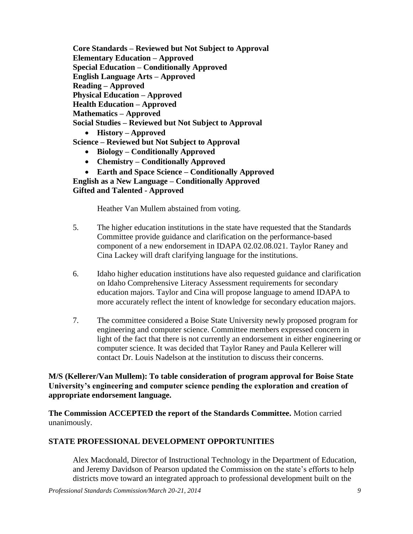**Core Standards – Reviewed but Not Subject to Approval Elementary Education – Approved Special Education – Conditionally Approved English Language Arts – Approved Reading – Approved Physical Education – Approved Health Education – Approved Mathematics – Approved Social Studies – Reviewed but Not Subject to Approval History – Approved Science – Reviewed but Not Subject to Approval**

- **Biology – Conditionally Approved**
- **Chemistry – Conditionally Approved**
- **Earth and Space Science – Conditionally Approved**

**English as a New Language – Conditionally Approved Gifted and Talented - Approved**

Heather Van Mullem abstained from voting.

- 5. The higher education institutions in the state have requested that the Standards Committee provide guidance and clarification on the performance-based component of a new endorsement in IDAPA 02.02.08.021. Taylor Raney and Cina Lackey will draft clarifying language for the institutions.
- 6. Idaho higher education institutions have also requested guidance and clarification on Idaho Comprehensive Literacy Assessment requirements for secondary education majors. Taylor and Cina will propose language to amend IDAPA to more accurately reflect the intent of knowledge for secondary education majors.
- 7. The committee considered a Boise State University newly proposed program for engineering and computer science. Committee members expressed concern in light of the fact that there is not currently an endorsement in either engineering or computer science. It was decided that Taylor Raney and Paula Kellerer will contact Dr. Louis Nadelson at the institution to discuss their concerns.

**M/S (Kellerer/Van Mullem): To table consideration of program approval for Boise State University's engineering and computer science pending the exploration and creation of appropriate endorsement language.**

**The Commission ACCEPTED the report of the Standards Committee.** Motion carried unanimously.

#### **STATE PROFESSIONAL DEVELOPMENT OPPORTUNITIES**

Alex Macdonald, Director of Instructional Technology in the Department of Education, and Jeremy Davidson of Pearson updated the Commission on the state's efforts to help districts move toward an integrated approach to professional development built on the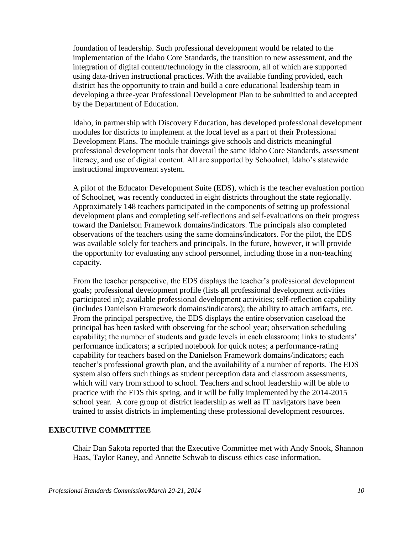foundation of leadership. Such professional development would be related to the implementation of the Idaho Core Standards, the transition to new assessment, and the integration of digital content/technology in the classroom, all of which are supported using data-driven instructional practices. With the available funding provided, each district has the opportunity to train and build a core educational leadership team in developing a three-year Professional Development Plan to be submitted to and accepted by the Department of Education.

Idaho, in partnership with Discovery Education, has developed professional development modules for districts to implement at the local level as a part of their Professional Development Plans. The module trainings give schools and districts meaningful professional development tools that dovetail the same Idaho Core Standards, assessment literacy, and use of digital content. All are supported by Schoolnet, Idaho's statewide instructional improvement system.

A pilot of the Educator Development Suite (EDS), which is the teacher evaluation portion of Schoolnet, was recently conducted in eight districts throughout the state regionally. Approximately 148 teachers participated in the components of setting up professional development plans and completing self-reflections and self-evaluations on their progress toward the Danielson Framework domains/indicators. The principals also completed observations of the teachers using the same domains/indicators. For the pilot, the EDS was available solely for teachers and principals. In the future, however, it will provide the opportunity for evaluating any school personnel, including those in a non-teaching capacity.

From the teacher perspective, the EDS displays the teacher's professional development goals; professional development profile (lists all professional development activities participated in); available professional development activities; self-reflection capability (includes Danielson Framework domains/indicators); the ability to attach artifacts, etc. From the principal perspective, the EDS displays the entire observation caseload the principal has been tasked with observing for the school year; observation scheduling capability; the number of students and grade levels in each classroom; links to students' performance indicators; a scripted notebook for quick notes; a performance-rating capability for teachers based on the Danielson Framework domains/indicators; each teacher's professional growth plan, and the availability of a number of reports. The EDS system also offers such things as student perception data and classroom assessments, which will vary from school to school. Teachers and school leadership will be able to practice with the EDS this spring, and it will be fully implemented by the 2014-2015 school year. A core group of district leadership as well as IT navigators have been trained to assist districts in implementing these professional development resources.

## **EXECUTIVE COMMITTEE**

Chair Dan Sakota reported that the Executive Committee met with Andy Snook, Shannon Haas, Taylor Raney, and Annette Schwab to discuss ethics case information.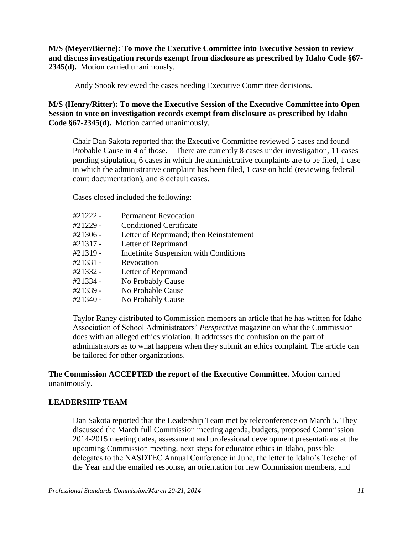**M/S (Meyer/Bierne): To move the Executive Committee into Executive Session to review and discuss investigation records exempt from disclosure as prescribed by Idaho Code §67- 2345(d).** Motion carried unanimously.

Andy Snook reviewed the cases needing Executive Committee decisions.

**M/S (Henry/Ritter): To move the Executive Session of the Executive Committee into Open Session to vote on investigation records exempt from disclosure as prescribed by Idaho Code §67-2345(d).** Motion carried unanimously.

Chair Dan Sakota reported that the Executive Committee reviewed 5 cases and found Probable Cause in 4 of those. There are currently 8 cases under investigation, 11 cases pending stipulation, 6 cases in which the administrative complaints are to be filed, 1 case in which the administrative complaint has been filed, 1 case on hold (reviewing federal court documentation), and 8 default cases.

Cases closed included the following:

| #21222 - | <b>Permanent Revocation</b>                  |
|----------|----------------------------------------------|
| #21229 - | <b>Conditioned Certificate</b>               |
| #21306 - | Letter of Reprimand; then Reinstatement      |
| #21317 - | Letter of Reprimand                          |
| #21319 - | <b>Indefinite Suspension with Conditions</b> |
| #21331 - | Revocation                                   |
| #21332 - | Letter of Reprimand                          |
| #21334 - | No Probably Cause                            |
| #21339 - | No Probable Cause                            |
| #21340 - | No Probably Cause                            |
|          |                                              |

Taylor Raney distributed to Commission members an article that he has written for Idaho Association of School Administrators' *Perspective* magazine on what the Commission does with an alleged ethics violation. It addresses the confusion on the part of administrators as to what happens when they submit an ethics complaint. The article can be tailored for other organizations.

## **The Commission ACCEPTED the report of the Executive Committee.** Motion carried unanimously.

#### **LEADERSHIP TEAM**

Dan Sakota reported that the Leadership Team met by teleconference on March 5. They discussed the March full Commission meeting agenda, budgets, proposed Commission 2014-2015 meeting dates, assessment and professional development presentations at the upcoming Commission meeting, next steps for educator ethics in Idaho, possible delegates to the NASDTEC Annual Conference in June, the letter to Idaho's Teacher of the Year and the emailed response, an orientation for new Commission members, and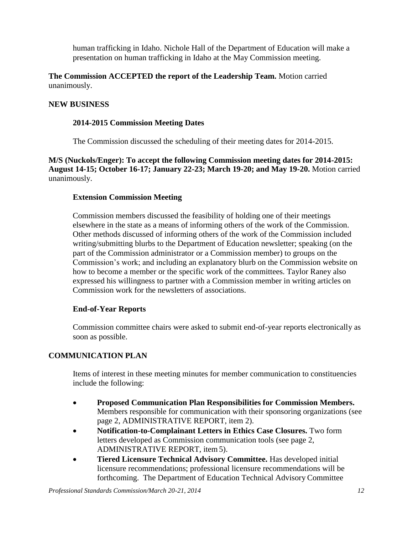human trafficking in Idaho. Nichole Hall of the Department of Education will make a presentation on human trafficking in Idaho at the May Commission meeting.

**The Commission ACCEPTED the report of the Leadership Team.** Motion carried unanimously.

## **NEW BUSINESS**

## **2014-2015 Commission Meeting Dates**

The Commission discussed the scheduling of their meeting dates for 2014-2015.

**M/S (Nuckols/Enger): To accept the following Commission meeting dates for 2014-2015: August 14-15; October 16-17; January 22-23; March 19-20; and May 19-20.** Motion carried unanimously.

## **Extension Commission Meeting**

Commission members discussed the feasibility of holding one of their meetings elsewhere in the state as a means of informing others of the work of the Commission. Other methods discussed of informing others of the work of the Commission included writing/submitting blurbs to the Department of Education newsletter; speaking (on the part of the Commission administrator or a Commission member) to groups on the Commission's work; and including an explanatory blurb on the Commission website on how to become a member or the specific work of the committees. Taylor Raney also expressed his willingness to partner with a Commission member in writing articles on Commission work for the newsletters of associations.

#### **End-of-Year Reports**

Commission committee chairs were asked to submit end-of-year reports electronically as soon as possible.

## **COMMUNICATION PLAN**

Items of interest in these meeting minutes for member communication to constituencies include the following:

- **Proposed Communication Plan Responsibilities for Commission Members.**  Members responsible for communication with their sponsoring organizations (see page 2, ADMINISTRATIVE REPORT, item 2).
- **Notification-to-Complainant Letters in Ethics Case Closures.** Two form letters developed as Commission communication tools (see page 2, ADMINISTRATIVE REPORT, item 5).
- **Tiered Licensure Technical Advisory Committee.** Has developed initial licensure recommendations; professional licensure recommendations will be forthcoming. The Department of Education Technical Advisory Committee